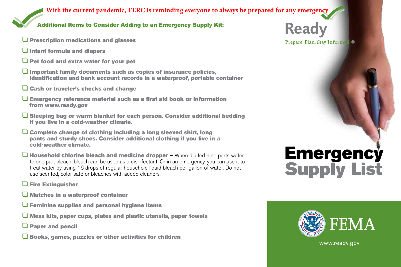### **With the current pandemic, TERC is reminding everyone to always be prepared for any emergency**

#### Additional Items to Consider Adding to an Emergency Supply Kit:

- $\Box$  Prescription medications and glasses
- $\overline{\square}$  Infant formula and diapers
- $\Box$  Pet food and extra water for your pet
- $\Box$  Important family documents such as copies of insurance policies, identification and bank account records in a waterproof, portable container
- $\Box$  Cash or traveler's checks and change
- $\Box$  Emergency reference material such as a first aid book or information fro m www.ready.gov
- $\Box$  Sleeping bag or warm blanket for each person. Consider additional bedding if y ou live in a cold-weather climate.
- $\Box$  Complete change of clothing including a long sleeved shirt, long pa nts and sturdy shoes. Consider additional clothing if you live in a cold-weather climate.
- $\Box$  Household chlorine bleach and medicine dropper When diluted nine parts water to one part bleach, bleach can be used as a disinfectant. Or in an emergency, you can use it to treat water by using 16 drops of regular household liquid bleach per gallon of water. Do not use scented, color safe or bleaches with added cleaners.
- **Q** Fire Extinguisher
- $\Box$  Matches in a waterproof container
- $\Box$  Feminine supplies and personal hygiene items
- $\Box$  Mess kits, paper cups, plates and plastic utensils, paper towels
- **Q** Paper and pencil
- $\Box$  Books, games, puzzles or other activities for children

## **Ready**

Prepare. Plan. Stay Informed. ®

# **FEMA**

**Emergency** 

**Supply List**